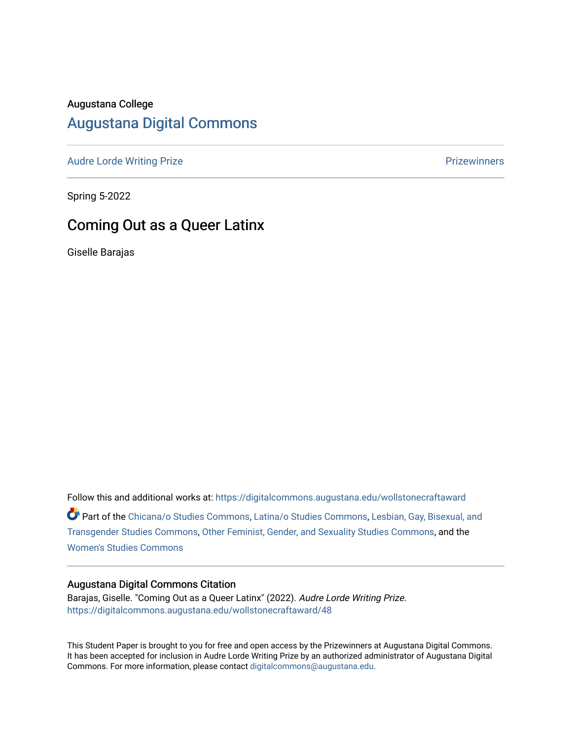### Augustana College

# [Augustana Digital Commons](https://digitalcommons.augustana.edu/)

[Audre Lorde Writing Prize](https://digitalcommons.augustana.edu/wollstonecraftaward) **Prize Audre Lorde Writing Prize** Prize Prize Prize Prize Prize Prize Prize Prize Prize

Spring 5-2022

# Coming Out as a Queer Latinx

Giselle Barajas

Follow this and additional works at: [https://digitalcommons.augustana.edu/wollstonecraftaward](https://digitalcommons.augustana.edu/wollstonecraftaward?utm_source=digitalcommons.augustana.edu%2Fwollstonecraftaward%2F48&utm_medium=PDF&utm_campaign=PDFCoverPages) 

Part of the [Chicana/o Studies Commons](http://network.bepress.com/hgg/discipline/569?utm_source=digitalcommons.augustana.edu%2Fwollstonecraftaward%2F48&utm_medium=PDF&utm_campaign=PDFCoverPages), [Latina/o Studies Commons](http://network.bepress.com/hgg/discipline/1315?utm_source=digitalcommons.augustana.edu%2Fwollstonecraftaward%2F48&utm_medium=PDF&utm_campaign=PDFCoverPages), [Lesbian, Gay, Bisexual, and](http://network.bepress.com/hgg/discipline/560?utm_source=digitalcommons.augustana.edu%2Fwollstonecraftaward%2F48&utm_medium=PDF&utm_campaign=PDFCoverPages) [Transgender Studies Commons,](http://network.bepress.com/hgg/discipline/560?utm_source=digitalcommons.augustana.edu%2Fwollstonecraftaward%2F48&utm_medium=PDF&utm_campaign=PDFCoverPages) [Other Feminist, Gender, and Sexuality Studies Commons](http://network.bepress.com/hgg/discipline/562?utm_source=digitalcommons.augustana.edu%2Fwollstonecraftaward%2F48&utm_medium=PDF&utm_campaign=PDFCoverPages), and the [Women's Studies Commons](http://network.bepress.com/hgg/discipline/561?utm_source=digitalcommons.augustana.edu%2Fwollstonecraftaward%2F48&utm_medium=PDF&utm_campaign=PDFCoverPages)

#### Augustana Digital Commons Citation

Barajas, Giselle. "Coming Out as a Queer Latinx" (2022). Audre Lorde Writing Prize. [https://digitalcommons.augustana.edu/wollstonecraftaward/48](https://digitalcommons.augustana.edu/wollstonecraftaward/48?utm_source=digitalcommons.augustana.edu%2Fwollstonecraftaward%2F48&utm_medium=PDF&utm_campaign=PDFCoverPages)

This Student Paper is brought to you for free and open access by the Prizewinners at Augustana Digital Commons. It has been accepted for inclusion in Audre Lorde Writing Prize by an authorized administrator of Augustana Digital Commons. For more information, please contact [digitalcommons@augustana.edu](mailto:digitalcommons@augustana.edu).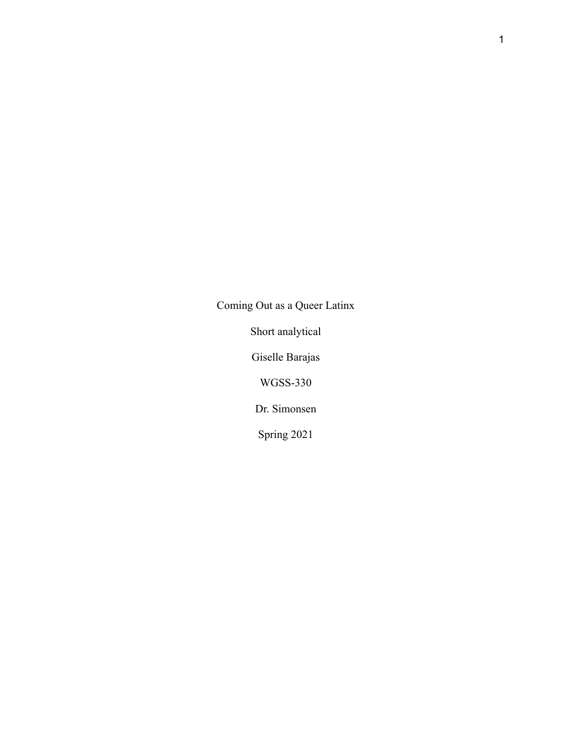Coming Out as a Queer Latinx

Short analytical

Giselle Barajas

WGSS-330

Dr. Simonsen

Spring 2021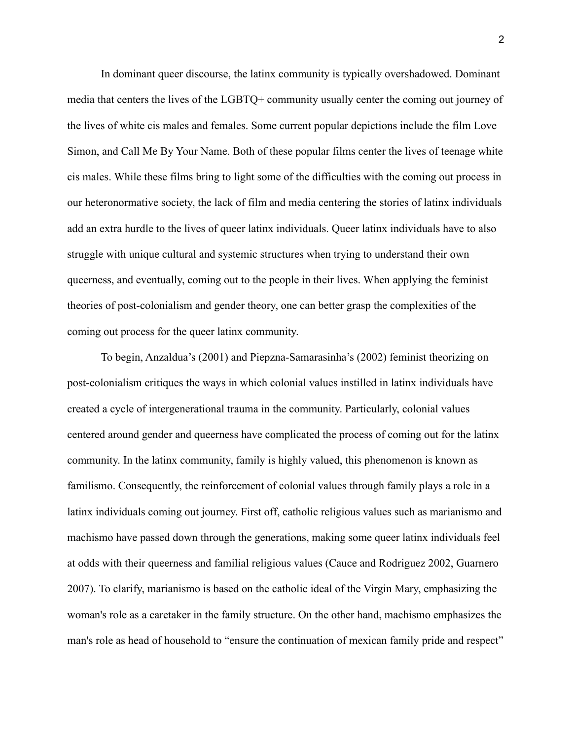In dominant queer discourse, the latinx community is typically overshadowed. Dominant media that centers the lives of the LGBTQ+ community usually center the coming out journey of the lives of white cis males and females. Some current popular depictions include the film Love Simon, and Call Me By Your Name. Both of these popular films center the lives of teenage white cis males. While these films bring to light some of the difficulties with the coming out process in our heteronormative society, the lack of film and media centering the stories of latinx individuals add an extra hurdle to the lives of queer latinx individuals. Queer latinx individuals have to also struggle with unique cultural and systemic structures when trying to understand their own queerness, and eventually, coming out to the people in their lives. When applying the feminist theories of post-colonialism and gender theory, one can better grasp the complexities of the coming out process for the queer latinx community.

To begin, Anzaldua's (2001) and Piepzna-Samarasinha's (2002) feminist theorizing on post-colonialism critiques the ways in which colonial values instilled in latinx individuals have created a cycle of intergenerational trauma in the community. Particularly, colonial values centered around gender and queerness have complicated the process of coming out for the latinx community. In the latinx community, family is highly valued, this phenomenon is known as familismo. Consequently, the reinforcement of colonial values through family plays a role in a latinx individuals coming out journey. First off, catholic religious values such as marianismo and machismo have passed down through the generations, making some queer latinx individuals feel at odds with their queerness and familial religious values (Cauce and Rodriguez 2002, Guarnero 2007). To clarify, marianismo is based on the catholic ideal of the Virgin Mary, emphasizing the woman's role as a caretaker in the family structure. On the other hand, machismo emphasizes the man's role as head of household to "ensure the continuation of mexican family pride and respect"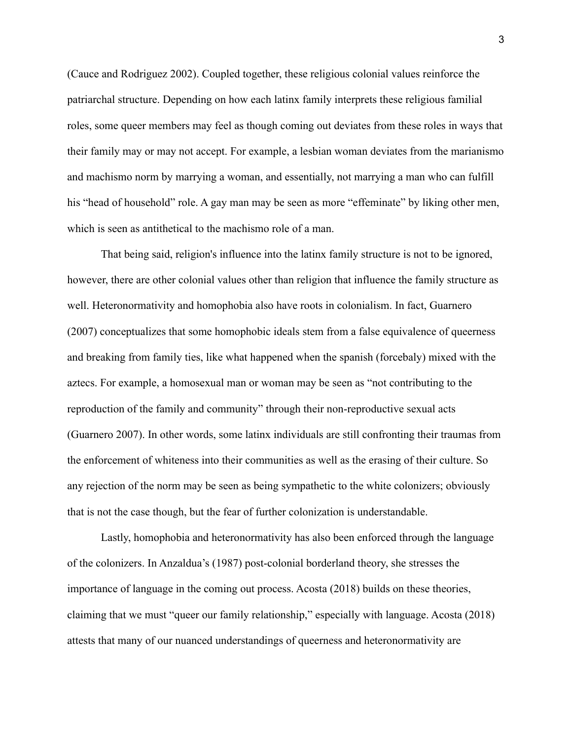(Cauce and Rodriguez 2002). Coupled together, these religious colonial values reinforce the patriarchal structure. Depending on how each latinx family interprets these religious familial roles, some queer members may feel as though coming out deviates from these roles in ways that their family may or may not accept. For example, a lesbian woman deviates from the marianismo and machismo norm by marrying a woman, and essentially, not marrying a man who can fulfill his "head of household" role. A gay man may be seen as more "effeminate" by liking other men, which is seen as antithetical to the machismo role of a man.

That being said, religion's influence into the latinx family structure is not to be ignored, however, there are other colonial values other than religion that influence the family structure as well. Heteronormativity and homophobia also have roots in colonialism. In fact, Guarnero (2007) conceptualizes that some homophobic ideals stem from a false equivalence of queerness and breaking from family ties, like what happened when the spanish (forcebaly) mixed with the aztecs. For example, a homosexual man or woman may be seen as "not contributing to the reproduction of the family and community" through their non-reproductive sexual acts (Guarnero 2007). In other words, some latinx individuals are still confronting their traumas from the enforcement of whiteness into their communities as well as the erasing of their culture. So any rejection of the norm may be seen as being sympathetic to the white colonizers; obviously that is not the case though, but the fear of further colonization is understandable.

Lastly, homophobia and heteronormativity has also been enforced through the language of the colonizers. In Anzaldua's (1987) post-colonial borderland theory, she stresses the importance of language in the coming out process. Acosta (2018) builds on these theories, claiming that we must "queer our family relationship," especially with language. Acosta (2018) attests that many of our nuanced understandings of queerness and heteronormativity are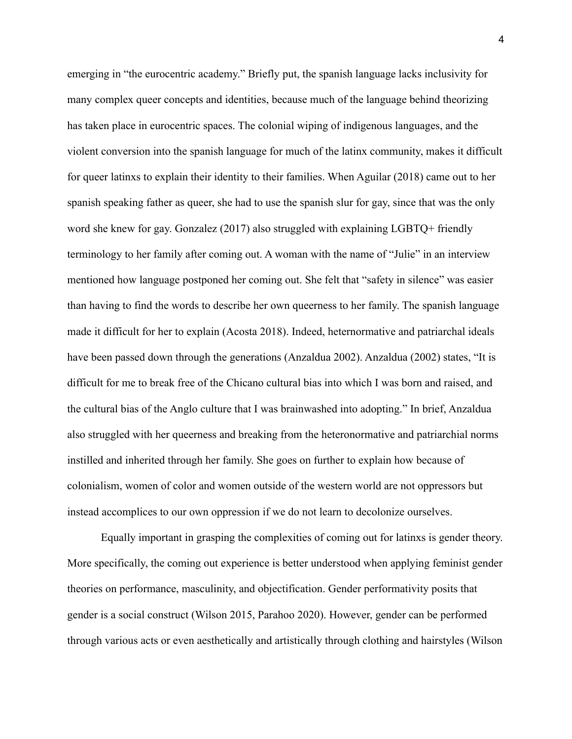emerging in "the eurocentric academy." Briefly put, the spanish language lacks inclusivity for many complex queer concepts and identities, because much of the language behind theorizing has taken place in eurocentric spaces. The colonial wiping of indigenous languages, and the violent conversion into the spanish language for much of the latinx community, makes it difficult for queer latinxs to explain their identity to their families. When Aguilar (2018) came out to her spanish speaking father as queer, she had to use the spanish slur for gay, since that was the only word she knew for gay. Gonzalez (2017) also struggled with explaining LGBTQ+ friendly terminology to her family after coming out. A woman with the name of "Julie" in an interview mentioned how language postponed her coming out. She felt that "safety in silence" was easier than having to find the words to describe her own queerness to her family. The spanish language made it difficult for her to explain (Acosta 2018). Indeed, heternormative and patriarchal ideals have been passed down through the generations (Anzaldua 2002). Anzaldua (2002) states, "It is difficult for me to break free of the Chicano cultural bias into which I was born and raised, and the cultural bias of the Anglo culture that I was brainwashed into adopting." In brief, Anzaldua also struggled with her queerness and breaking from the heteronormative and patriarchial norms instilled and inherited through her family. She goes on further to explain how because of colonialism, women of color and women outside of the western world are not oppressors but instead accomplices to our own oppression if we do not learn to decolonize ourselves.

Equally important in grasping the complexities of coming out for latinxs is gender theory. More specifically, the coming out experience is better understood when applying feminist gender theories on performance, masculinity, and objectification. Gender performativity posits that gender is a social construct (Wilson 2015, Parahoo 2020). However, gender can be performed through various acts or even aesthetically and artistically through clothing and hairstyles (Wilson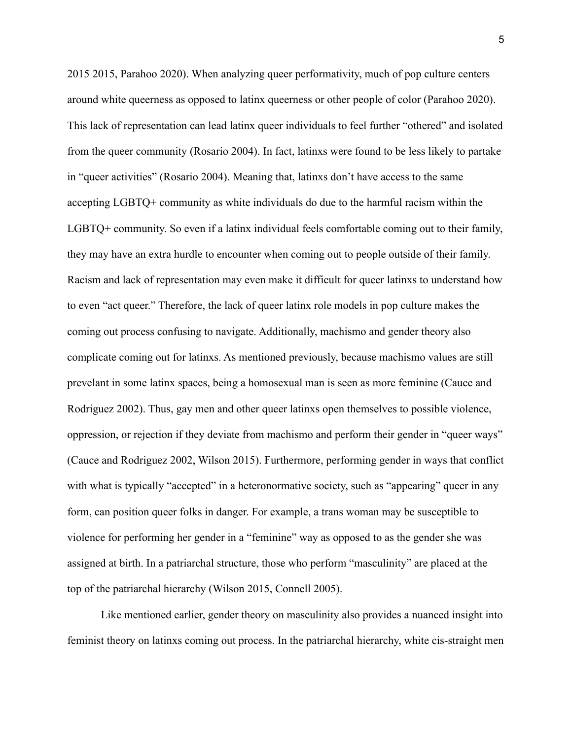2015 2015, Parahoo 2020). When analyzing queer performativity, much of pop culture centers around white queerness as opposed to latinx queerness or other people of color (Parahoo 2020). This lack of representation can lead latinx queer individuals to feel further "othered" and isolated from the queer community (Rosario 2004). In fact, latinxs were found to be less likely to partake in "queer activities" (Rosario 2004). Meaning that, latinxs don't have access to the same accepting LGBTQ+ community as white individuals do due to the harmful racism within the LGBTQ+ community. So even if a latinx individual feels comfortable coming out to their family, they may have an extra hurdle to encounter when coming out to people outside of their family. Racism and lack of representation may even make it difficult for queer latinxs to understand how to even "act queer." Therefore, the lack of queer latinx role models in pop culture makes the coming out process confusing to navigate. Additionally, machismo and gender theory also complicate coming out for latinxs. As mentioned previously, because machismo values are still prevelant in some latinx spaces, being a homosexual man is seen as more feminine (Cauce and Rodriguez 2002). Thus, gay men and other queer latinxs open themselves to possible violence, oppression, or rejection if they deviate from machismo and perform their gender in "queer ways" (Cauce and Rodriguez 2002, Wilson 2015). Furthermore, performing gender in ways that conflict with what is typically "accepted" in a heteronormative society, such as "appearing" queer in any form, can position queer folks in danger. For example, a trans woman may be susceptible to violence for performing her gender in a "feminine" way as opposed to as the gender she was assigned at birth. In a patriarchal structure, those who perform "masculinity" are placed at the top of the patriarchal hierarchy (Wilson 2015, Connell 2005).

Like mentioned earlier, gender theory on masculinity also provides a nuanced insight into feminist theory on latinxs coming out process. In the patriarchal hierarchy, white cis-straight men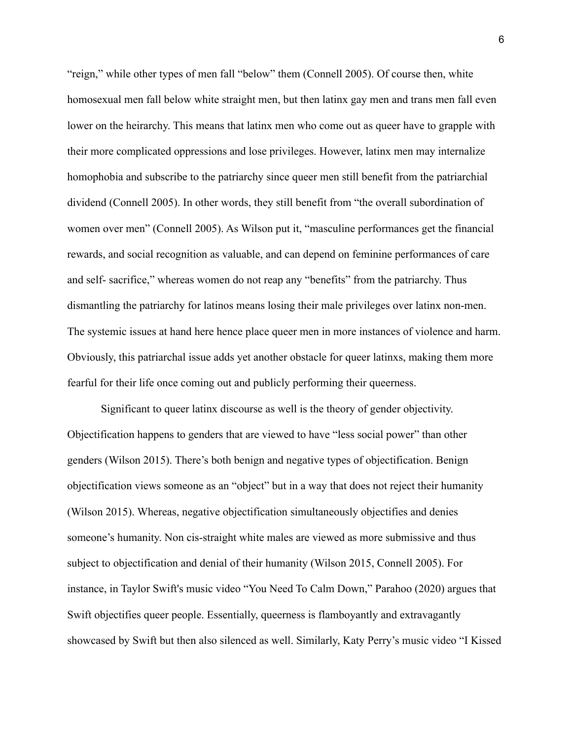"reign," while other types of men fall "below" them (Connell 2005). Of course then, white homosexual men fall below white straight men, but then latinx gay men and trans men fall even lower on the heirarchy. This means that latinx men who come out as queer have to grapple with their more complicated oppressions and lose privileges. However, latinx men may internalize homophobia and subscribe to the patriarchy since queer men still benefit from the patriarchial dividend (Connell 2005). In other words, they still benefit from "the overall subordination of women over men" (Connell 2005). As Wilson put it, "masculine performances get the financial rewards, and social recognition as valuable, and can depend on feminine performances of care and self- sacrifice," whereas women do not reap any "benefits" from the patriarchy. Thus dismantling the patriarchy for latinos means losing their male privileges over latinx non-men. The systemic issues at hand here hence place queer men in more instances of violence and harm. Obviously, this patriarchal issue adds yet another obstacle for queer latinxs, making them more fearful for their life once coming out and publicly performing their queerness.

Significant to queer latinx discourse as well is the theory of gender objectivity. Objectification happens to genders that are viewed to have "less social power" than other genders (Wilson 2015). There's both benign and negative types of objectification. Benign objectification views someone as an "object" but in a way that does not reject their humanity (Wilson 2015). Whereas, negative objectification simultaneously objectifies and denies someone's humanity. Non cis-straight white males are viewed as more submissive and thus subject to objectification and denial of their humanity (Wilson 2015, Connell 2005). For instance, in Taylor Swift's music video "You Need To Calm Down," Parahoo (2020) argues that Swift objectifies queer people. Essentially, queerness is flamboyantly and extravagantly showcased by Swift but then also silenced as well. Similarly, Katy Perry's music video "I Kissed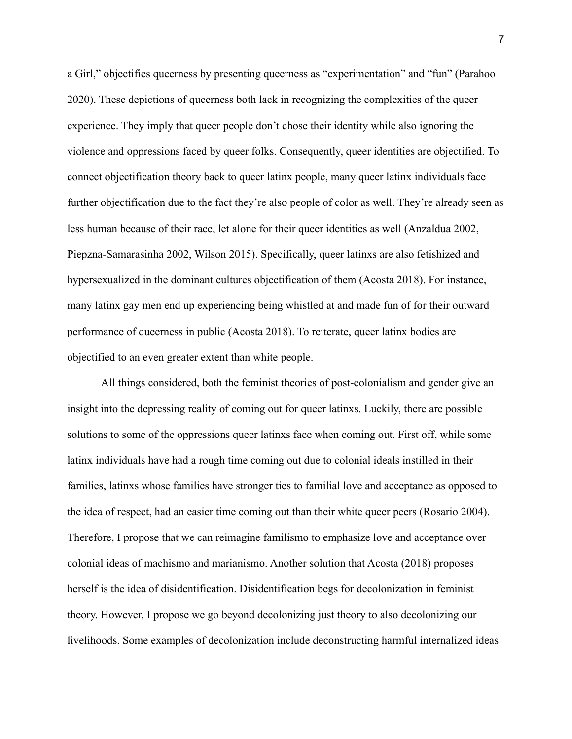a Girl," objectifies queerness by presenting queerness as "experimentation" and "fun" (Parahoo 2020). These depictions of queerness both lack in recognizing the complexities of the queer experience. They imply that queer people don't chose their identity while also ignoring the violence and oppressions faced by queer folks. Consequently, queer identities are objectified. To connect objectification theory back to queer latinx people, many queer latinx individuals face further objectification due to the fact they're also people of color as well. They're already seen as less human because of their race, let alone for their queer identities as well (Anzaldua 2002, Piepzna-Samarasinha 2002, Wilson 2015). Specifically, queer latinxs are also fetishized and hypersexualized in the dominant cultures objectification of them (Acosta 2018). For instance, many latinx gay men end up experiencing being whistled at and made fun of for their outward performance of queerness in public (Acosta 2018). To reiterate, queer latinx bodies are objectified to an even greater extent than white people.

All things considered, both the feminist theories of post-colonialism and gender give an insight into the depressing reality of coming out for queer latinxs. Luckily, there are possible solutions to some of the oppressions queer latinxs face when coming out. First off, while some latinx individuals have had a rough time coming out due to colonial ideals instilled in their families, latinxs whose families have stronger ties to familial love and acceptance as opposed to the idea of respect, had an easier time coming out than their white queer peers (Rosario 2004). Therefore, I propose that we can reimagine familismo to emphasize love and acceptance over colonial ideas of machismo and marianismo. Another solution that Acosta (2018) proposes herself is the idea of disidentification. Disidentification begs for decolonization in feminist theory. However, I propose we go beyond decolonizing just theory to also decolonizing our livelihoods. Some examples of decolonization include deconstructing harmful internalized ideas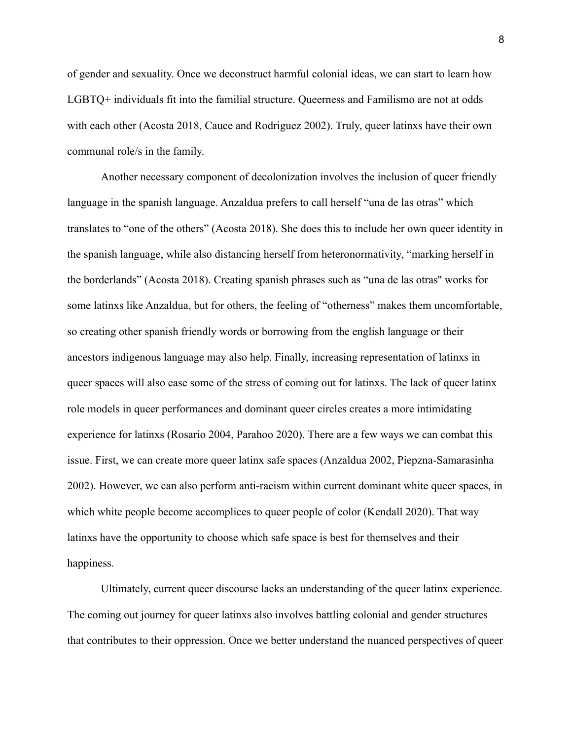of gender and sexuality. Once we deconstruct harmful colonial ideas, we can start to learn how LGBTQ+ individuals fit into the familial structure. Queerness and Familismo are not at odds with each other (Acosta 2018, Cauce and Rodriguez 2002). Truly, queer latinxs have their own communal role/s in the family.

Another necessary component of decolonization involves the inclusion of queer friendly language in the spanish language. Anzaldua prefers to call herself "una de las otras" which translates to "one of the others" (Acosta 2018). She does this to include her own queer identity in the spanish language, while also distancing herself from heteronormativity, "marking herself in the borderlands" (Acosta 2018). Creating spanish phrases such as "una de las otras'' works for some latinxs like Anzaldua, but for others, the feeling of "otherness" makes them uncomfortable, so creating other spanish friendly words or borrowing from the english language or their ancestors indigenous language may also help. Finally, increasing representation of latinxs in queer spaces will also ease some of the stress of coming out for latinxs. The lack of queer latinx role models in queer performances and dominant queer circles creates a more intimidating experience for latinxs (Rosario 2004, Parahoo 2020). There are a few ways we can combat this issue. First, we can create more queer latinx safe spaces (Anzaldua 2002, Piepzna-Samarasinha 2002). However, we can also perform anti-racism within current dominant white queer spaces, in which white people become accomplices to queer people of color (Kendall 2020). That way latinxs have the opportunity to choose which safe space is best for themselves and their happiness.

Ultimately, current queer discourse lacks an understanding of the queer latinx experience. The coming out journey for queer latinxs also involves battling colonial and gender structures that contributes to their oppression. Once we better understand the nuanced perspectives of queer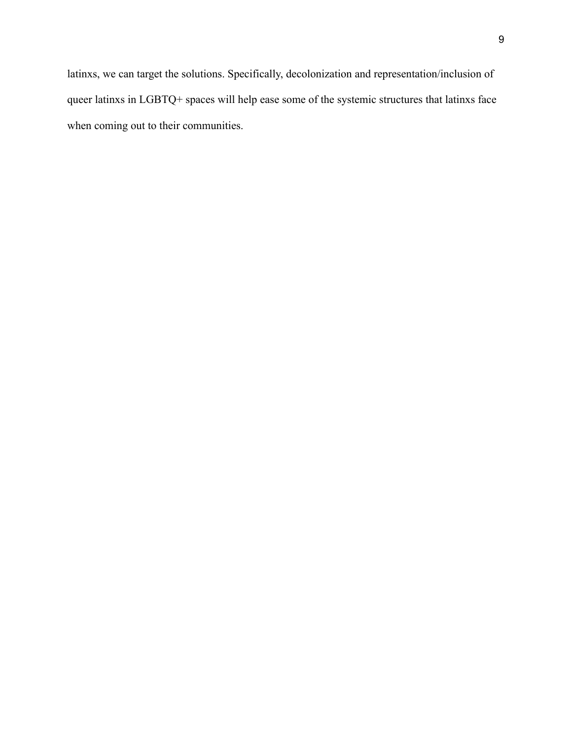latinxs, we can target the solutions. Specifically, decolonization and representation/inclusion of queer latinxs in LGBTQ+ spaces will help ease some of the systemic structures that latinxs face when coming out to their communities.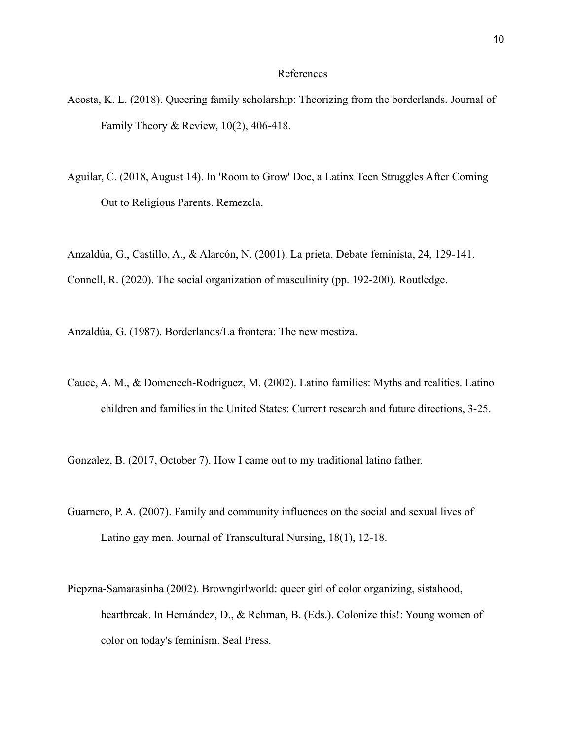#### References

- Acosta, K. L. (2018). Queering family scholarship: Theorizing from the borderlands. Journal of Family Theory & Review, 10(2), 406-418.
- Aguilar, C. (2018, August 14). In 'Room to Grow' Doc, a Latinx Teen Struggles After Coming Out to Religious Parents. Remezcla.

Anzaldúa, G., Castillo, A., & Alarcón, N. (2001). La prieta. Debate feminista, 24, 129-141. Connell, R. (2020). The social organization of masculinity (pp. 192-200). Routledge.

Anzaldúa, G. (1987). Borderlands/La frontera: The new mestiza.

Cauce, A. M., & Domenech-Rodriguez, M. (2002). Latino families: Myths and realities. Latino children and families in the United States: Current research and future directions, 3-25.

Gonzalez, B. (2017, October 7). How I came out to my traditional latino father.

- Guarnero, P. A. (2007). Family and community influences on the social and sexual lives of Latino gay men. Journal of Transcultural Nursing, 18(1), 12-18.
- Piepzna-Samarasinha (2002). Browngirlworld: queer girl of color organizing, sistahood, heartbreak. In Hernández, D., & Rehman, B. (Eds.). Colonize this!: Young women of color on today's feminism. Seal Press.